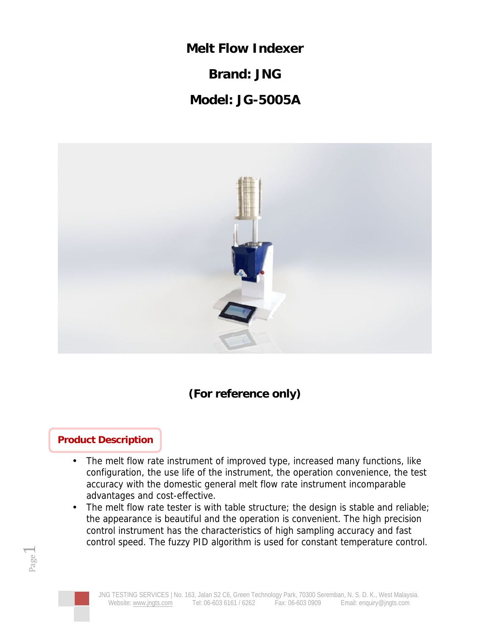**Melt Flow Indexer**

**Brand: JNG**

**Model: JG-5005A**



**(For reference only)**

## **Product Description**

- The melt flow rate instrument of improved type, increased many functions, like configuration, the use life of the instrument, the operation convenience, the test accuracy with the domestic general melt flow rate instrument incomparable advantages and cost-effective.
- The melt flow rate tester is with table structure; the design is stable and reliable; the appearance is beautiful and the operation is convenient. The high precision control instrument has the characteristics of high sampling accuracy and fast control speed. The fuzzy PID algorithm is used for constant temperature control.



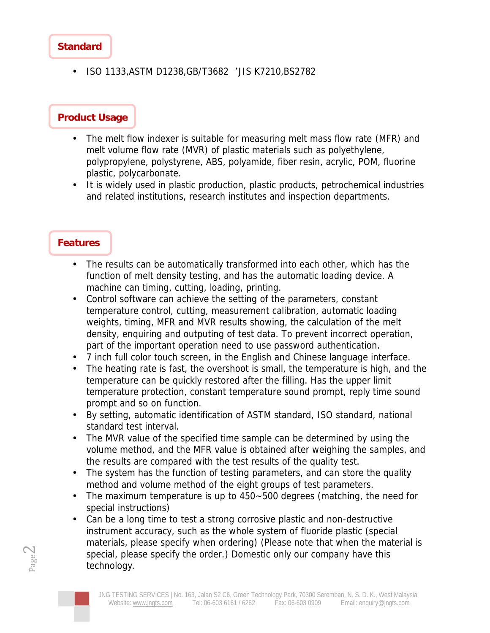#### **Standard**

• ISO 1133, ASTM D1238, GB/T3682 'JIS K7210, BS2782

### **Product Usage**

- The melt flow indexer is suitable for measuring melt mass flow rate (MFR) and melt volume flow rate (MVR) of plastic materials such as polyethylene, polypropylene, polystyrene, ABS, polyamide, fiber resin, acrylic, POM, fluorine plastic, polycarbonate.
- It is widely used in plastic production, plastic products, petrochemical industries and related institutions, research institutes and inspection departments.

#### **Features**

- The results can be automatically transformed into each other, which has the function of melt density testing, and has the automatic loading device. A machine can timing, cutting, loading, printing.
- Control software can achieve the setting of the parameters, constant temperature control, cutting, measurement calibration, automatic loading weights, timing, MFR and MVR results showing, the calculation of the melt density, enquiring and outputing of test data. To prevent incorrect operation, part of the important operation need to use password authentication.
- 7 inch full color touch screen, in the English and Chinese language interface.
- The heating rate is fast, the overshoot is small, the temperature is high, and the temperature can be quickly restored after the filling. Has the upper limit temperature protection, constant temperature sound prompt, reply time sound prompt and so on function.
- By setting, automatic identification of ASTM standard, ISO standard, national standard test interval.
- The MVR value of the specified time sample can be determined by using the volume method, and the MFR value is obtained after weighing the samples, and the results are compared with the test results of the quality test.
- The system has the function of testing parameters, and can store the quality method and volume method of the eight groups of test parameters.
- The maximum temperature is up to 450~500 degrees (matching, the need for special instructions)
- special, please specify the order.) Domestic only our company have this • Can be a long time to test a strong corrosive plastic and non-destructive instrument accuracy, such as the whole system of fluoride plastic (special materials, please specify when ordering) (Please note that when the material is technology.